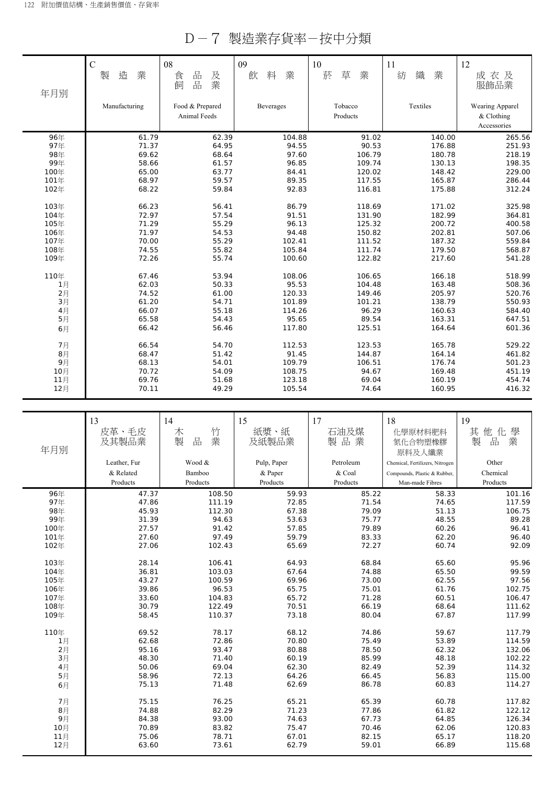D-7 製造業存貨率-按中分類

|      | $\overline{C}$<br>業<br>製<br>造 | 08<br>品<br>及<br>食<br>業<br>飼<br>品 | 09<br>業<br>飲<br>料 | 10<br>草<br>菸<br>業   | 11<br>紡<br>織<br>業 | 12<br>成衣及<br>服飾品業                            |
|------|-------------------------------|----------------------------------|-------------------|---------------------|-------------------|----------------------------------------------|
| 年月別  | Manufacturing                 | Food & Prepared<br>Animal Feeds  | <b>Beverages</b>  | Tobacco<br>Products | Textiles          | Wearing Apparel<br>& Clothing<br>Accessories |
| 96年  | 61.79                         | 62.39                            | 104.88            | 91.02               | 140.00            | 265.56                                       |
| 97年  | 71.37                         | 64.95                            | 94.55             | 90.53               | 176.88            | 251.93                                       |
| 98年  | 69.62                         | 68.64                            | 97.60             | 106.79              | 180.78            | 218.19                                       |
| 99年  | 58.66                         | 61.57                            | 96.85             | 109.74              | 130.13            | 198.35                                       |
| 100年 | 65.00                         | 63.77                            | 84.41             | 120.02              | 148.42            | 229.00                                       |
| 101年 | 68.97                         | 59.57                            | 89.35             | 117.55              | 165.87            | 286.44                                       |
| 102年 | 68.22                         | 59.84                            | 92.83             | 116.81              | 175.88            | 312.24                                       |
| 103年 | 66.23                         | 56.41                            | 86.79             | 118.69              | 171.02            | 325.98                                       |
| 104年 | 72.97                         | 57.54                            | 91.51             | 131.90              | 182.99            | 364.81                                       |
| 105年 | 71.29                         | 55.29                            | 96.13             | 125.32              | 200.72            | 400.58                                       |
| 106年 | 71.97                         | 54.53                            | 94.48             | 150.82              | 202.81            | 507.06                                       |
| 107年 | 70.00                         | 55.29                            | 102.41            | 111.52              | 187.32            | 559.84                                       |
| 108年 | 74.55                         | 55.82                            | 105.84            | 111.74              | 179.50            | 568.87                                       |
| 109年 | 72.26                         | 55.74                            | 100.60            | 122.82              | 217.60            | 541.28                                       |
| 110年 | 67.46                         | 53.94                            | 108.06            | 106.65              | 166.18            | 518.99                                       |
| 1月   | 62.03                         | 50.33                            | 95.53             | 104.48              | 163.48            | 508.36                                       |
| 2月   | 74.52                         | 61.00                            | 120.33            | 149.46              | 205.97            | 520.76                                       |
| 3月   | 61.20                         | 54.71                            | 101.89            | 101.21              | 138.79            | 550.93                                       |
| 4月   | 66.07                         | 55.18                            | 114.26            | 96.29               | 160.63            | 584.40                                       |
| 5月   | 65.58                         | 54.43                            | 95.65             | 89.54               | 163.31            | 647.51                                       |
| 6月   | 66.42                         | 56.46                            | 117.80            | 125.51              | 164.64            | 601.36                                       |
| 7月   | 66.54                         | 54.70                            | 112.53            | 123.53              | 165.78            | 529.22                                       |
| 8月   | 68.47                         | 51.42                            | 91.45             | 144.87              | 164.14            | 461.82                                       |
| 9月   | 68.13                         | 54.01                            | 109.79            | 106.51              | 176.74            | 501.23                                       |
| 10月  | 70.72                         | 54.09                            | 108.75            | 94.67               | 169.48            | 451.19                                       |
| 11月  | 69.76                         | 51.68                            | 123.18            | 69.04               | 160.19            | 454.74                                       |
| 12月  | 70.11                         | 49.29                            | 105.54            | 74.64               | 160.95            | 416.32                                       |

| 年月別  | 13<br>皮革、毛皮<br>及其製品業<br>Leather, Fur | 14<br>竹<br>木<br>製<br>品<br>業<br>Wood & | 15<br>紙漿、紙<br>及紙製品業<br>Pulp, Paper | 17<br>石油及煤<br>製品業<br>Petroleum | 18<br>化學原材料肥料<br>氮化合物塑橡膠<br>原料及人纖業<br>Chemical, Fertilizers, Nitrogen | 19<br>其<br>他化<br>學<br>業<br>製<br>品<br>Other |
|------|--------------------------------------|---------------------------------------|------------------------------------|--------------------------------|-----------------------------------------------------------------------|--------------------------------------------|
|      | & Related                            | Bamboo                                | & Paper                            | & Coal                         | Compounds, Plastic & Rubber,                                          | Chemical                                   |
|      | Products                             | Products                              | Products                           | Products                       | Man-made Fibres                                                       | Products                                   |
| 96年  | 47.37                                | 108.50                                | 59.93                              | 85.22                          | 58.33                                                                 | 101.16                                     |
| 97年  | 47.86                                | 111.19                                | 72.85                              | 71.54                          | 74.65                                                                 | 117.59                                     |
| 98年  | 45.93                                | 112.30                                | 67.38                              | 79.09                          | 51.13                                                                 | 106.75                                     |
| 99年  | 31.39                                | 94.63                                 | 53.63                              | 75.77                          | 48.55                                                                 | 89.28                                      |
| 100年 | 27.57                                | 91.42                                 | 57.85                              | 79.89                          | 60.26                                                                 | 96.41                                      |
| 101年 | 27.60                                | 97.49                                 | 59.79                              | 83.33                          | 62.20                                                                 | 96.40                                      |
| 102年 | 27.06                                | 102.43                                | 65.69                              | 72.27                          | 60.74                                                                 | 92.09                                      |
| 103年 | 28.14                                | 106.41                                | 64.93                              | 68.84                          | 65.60                                                                 | 95.96                                      |
| 104年 | 36.81                                | 103.03                                | 67.64                              | 74.88                          | 65.50                                                                 | 99.59                                      |
| 105年 | 43.27                                | 100.59                                | 69.96                              | 73.00                          | 62.55                                                                 | 97.56                                      |
| 106年 | 39.86                                | 96.53                                 | 65.75                              | 75.01                          | 61.76                                                                 | 102.75                                     |
| 107年 | 33.60                                | 104.83                                | 65.72                              | 71.28                          | 60.51                                                                 | 106.47                                     |
| 108年 | 30.79                                | 122.49                                | 70.51                              | 66.19                          | 68.64                                                                 | 111.62                                     |
| 109年 | 58.45                                | 110.37                                | 73.18                              | 80.04                          | 67.87                                                                 | 117.99                                     |
| 110年 | 69.52                                | 78.17                                 | 68.12                              | 74.86                          | 59.67                                                                 | 117.79                                     |
| 1月   | 62.68                                | 72.86                                 | 70.80                              | 75.49                          | 53.89                                                                 | 114.59                                     |
| 2月   | 95.16                                | 93.47                                 | 80.88                              | 78.50                          | 62.32                                                                 | 132.06                                     |
| 3月   | 48.30                                | 71.40                                 | 60.19                              | 85.99                          | 48.18                                                                 | 102.22                                     |
| 4月   | 50.06                                | 69.04                                 | 62.30                              | 82.49                          | 52.39                                                                 | 114.32                                     |
| 5月   | 58.96                                | 72.13                                 | 64.26                              | 66.45                          | 56.83                                                                 | 115.00                                     |
| 6月   | 75.13                                | 71.48                                 | 62.69                              | 86.78                          | 60.83                                                                 | 114.27                                     |
| 7月   | 75.15                                | 76.25                                 | 65.21                              | 65.39                          | 60.78                                                                 | 117.82                                     |
| 8月   | 74.88                                | 82.29                                 | 71.23                              | 77.86                          | 61.82                                                                 | 122.12                                     |
| 9月   | 84.38                                | 93.00                                 | 74.63                              | 67.73                          | 64.85                                                                 | 126.34                                     |
| 10月  | 70.89                                | 83.82                                 | 75.47                              | 70.46                          | 62.06                                                                 | 120.83                                     |
| 11月  | 75.06                                | 78.71                                 | 67.01                              | 82.15                          | 65.17                                                                 | 118.20                                     |
| 12月  | 63.60                                | 73.61                                 | 62.79                              | 59.01                          | 66.89                                                                 | 115.68                                     |